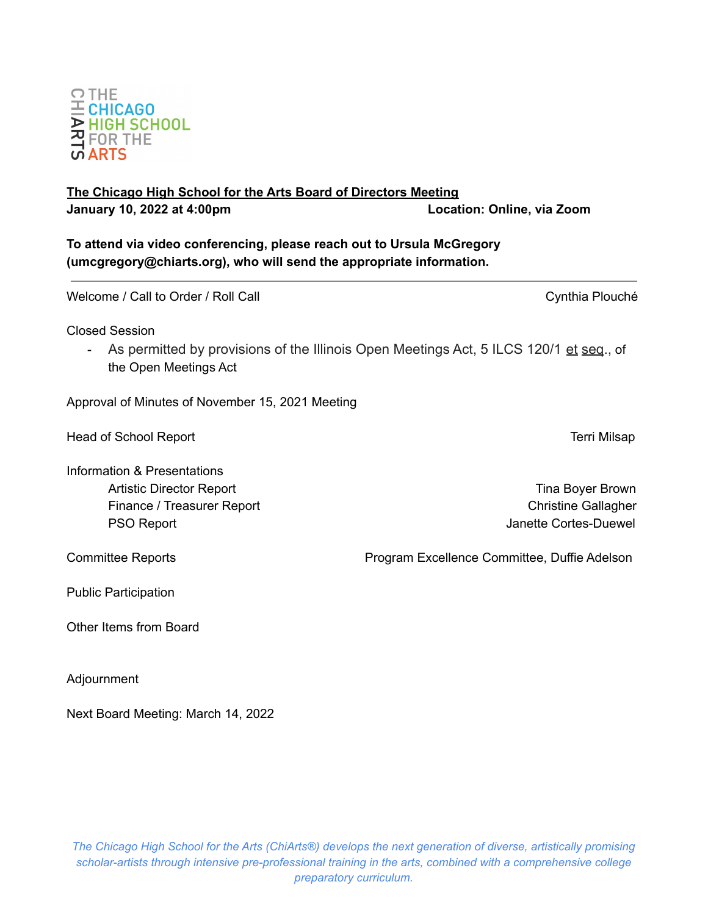# **The Chicago High School for the Arts Board of Directors Meeting January 10, 2022 at 4:00pm Location: Online, via Zoom**

**To attend via video conferencing, please reach out to Ursula McGregory (umcgregory@chiarts.org), who will send the appropriate information.**

Welcome / Call to Order / Roll Call Call Cynthia Plouché

Closed Session

- As permitted by provisions of the Illinois Open Meetings Act, 5 ILCS 120/1 et seq., of the Open Meetings Act

Approval of Minutes of November 15, 2021 Meeting

Head of School Report **Terri Milsap** and the second second second second second second second second second second second second second second second second second second second second second second second second second se

Information & Presentations Artistic Director Report **Time Boyer Brown** 

Finance / Treasurer Report **Christian Christian Christian Christian Christian Christian Christian Christian Christian Christian Christian Christian Christian Christian Christian Christian Christian Christian Christian Chri** PSO Report **PSO Report**  $\blacksquare$ 

Committee Reports Program Excellence Committee, Duffie Adelson

Public Participation

Other Items from Board

Adjournment

Next Board Meeting: March 14, 2022

**OTHE** 

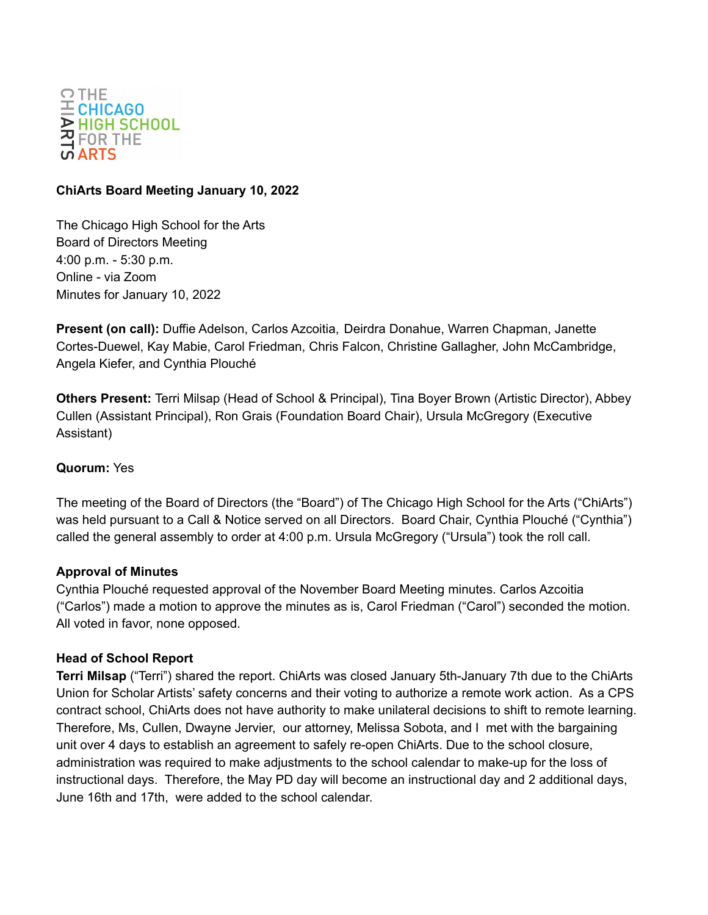

### **ChiArts Board Meeting January 10, 2022**

The Chicago High School for the Arts Board of Directors Meeting 4:00 p.m. - 5:30 p.m. Online - via Zoom Minutes for January 10, 2022

**Present (on call):** Duffie Adelson, Carlos Azcoitia, Deirdra Donahue, Warren Chapman, Janette Cortes-Duewel, Kay Mabie, Carol Friedman, Chris Falcon, Christine Gallagher, John McCambridge, Angela Kiefer, and Cynthia Plouché

**Others Present:** Terri Milsap (Head of School & Principal), Tina Boyer Brown (Artistic Director), Abbey Cullen (Assistant Principal), Ron Grais (Foundation Board Chair), Ursula McGregory (Executive Assistant)

# **Quorum:** Yes

The meeting of the Board of Directors (the "Board") of The Chicago High School for the Arts ("ChiArts") was held pursuant to a Call & Notice served on all Directors. Board Chair, Cynthia Plouché ("Cynthia") called the general assembly to order at 4:00 p.m. Ursula McGregory ("Ursula") took the roll call.

#### **Approval of Minutes**

Cynthia Plouché requested approval of the November Board Meeting minutes. Carlos Azcoitia ("Carlos") made a motion to approve the minutes as is, Carol Friedman ("Carol") seconded the motion. All voted in favor, none opposed.

#### **Head of School Report**

**Terri Milsap** ("Terri") shared the report. ChiArts was closed January 5th-January 7th due to the ChiArts Union for Scholar Artists' safety concerns and their voting to authorize a remote work action. As a CPS contract school, ChiArts does not have authority to make unilateral decisions to shift to remote learning. Therefore, Ms, Cullen, Dwayne Jervier, our attorney, Melissa Sobota, and I met with the bargaining unit over 4 days to establish an agreement to safely re-open ChiArts. Due to the school closure, administration was required to make adjustments to the school calendar to make-up for the loss of instructional days. Therefore, the May PD day will become an instructional day and 2 additional days, June 16th and 17th, were added to the school calendar.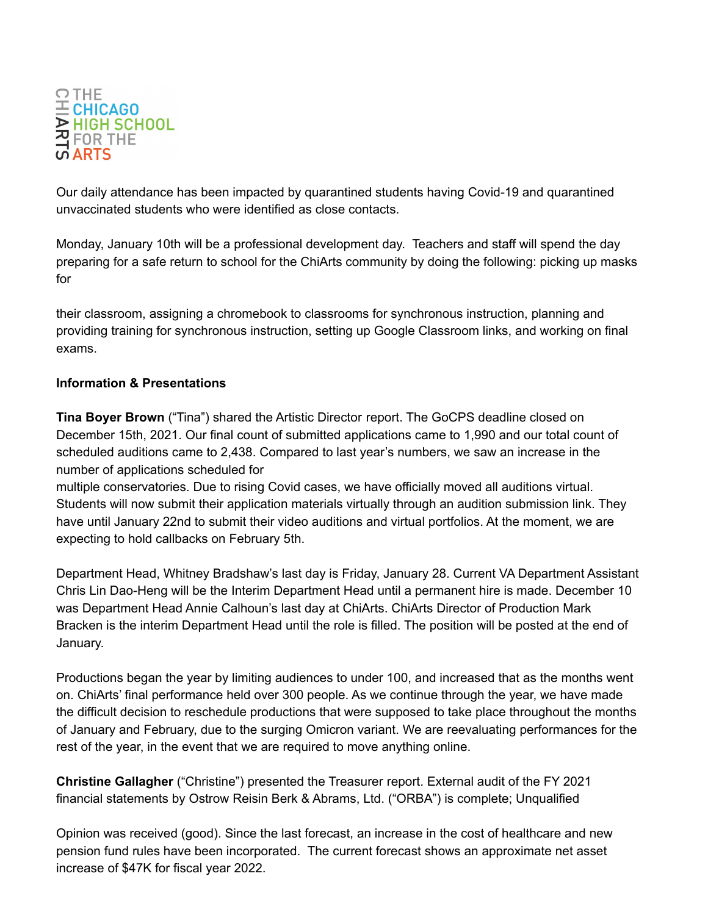

Our daily attendance has been impacted by quarantined students having Covid-19 and quarantined unvaccinated students who were identified as close contacts.

Monday, January 10th will be a professional development day. Teachers and staff will spend the day preparing for a safe return to school for the ChiArts community by doing the following: picking up masks for

their classroom, assigning a chromebook to classrooms for synchronous instruction, planning and providing training for synchronous instruction, setting up Google Classroom links, and working on final exams.

## **Information & Presentations**

**Tina Boyer Brown** ("Tina") shared the Artistic Director report. The GoCPS deadline closed on December 15th, 2021. Our final count of submitted applications came to 1,990 and our total count of scheduled auditions came to 2,438. Compared to last year's numbers, we saw an increase in the number of applications scheduled for

multiple conservatories. Due to rising Covid cases, we have officially moved all auditions virtual. Students will now submit their application materials virtually through an audition submission link. They have until January 22nd to submit their video auditions and virtual portfolios. At the moment, we are expecting to hold callbacks on February 5th.

Department Head, Whitney Bradshaw's last day is Friday, January 28. Current VA Department Assistant Chris Lin Dao-Heng will be the Interim Department Head until a permanent hire is made. December 10 was Department Head Annie Calhoun's last day at ChiArts. ChiArts Director of Production Mark Bracken is the interim Department Head until the role is filled. The position will be posted at the end of January.

Productions began the year by limiting audiences to under 100, and increased that as the months went on. ChiArts' final performance held over 300 people. As we continue through the year, we have made the difficult decision to reschedule productions that were supposed to take place throughout the months of January and February, due to the surging Omicron variant. We are reevaluating performances for the rest of the year, in the event that we are required to move anything online.

**Christine Gallagher** ("Christine") presented the Treasurer report. External audit of the FY 2021 financial statements by Ostrow Reisin Berk & Abrams, Ltd. ("ORBA") is complete; Unqualified

Opinion was received (good). Since the last forecast, an increase in the cost of healthcare and new pension fund rules have been incorporated. The current forecast shows an approximate net asset increase of \$47K for fiscal year 2022.